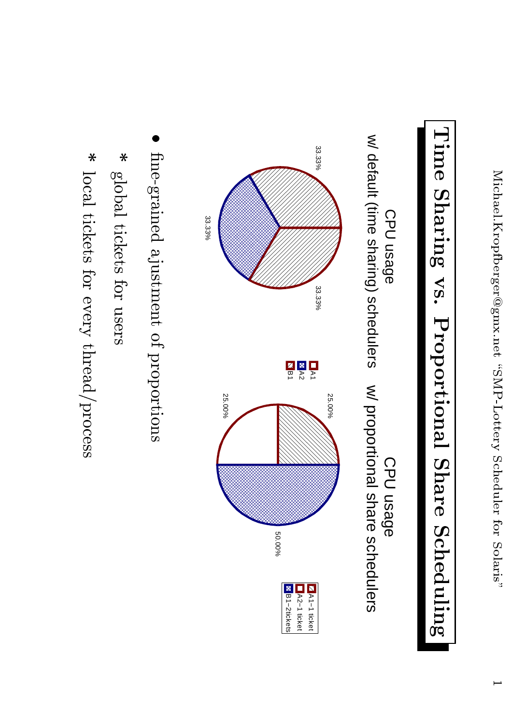# Time Sharing vs. Proportional Share Scheduling





- fine-grained ajustment of proportions
- $\ast$ global tickets for users
- $\ast$ local tickets for every thread/process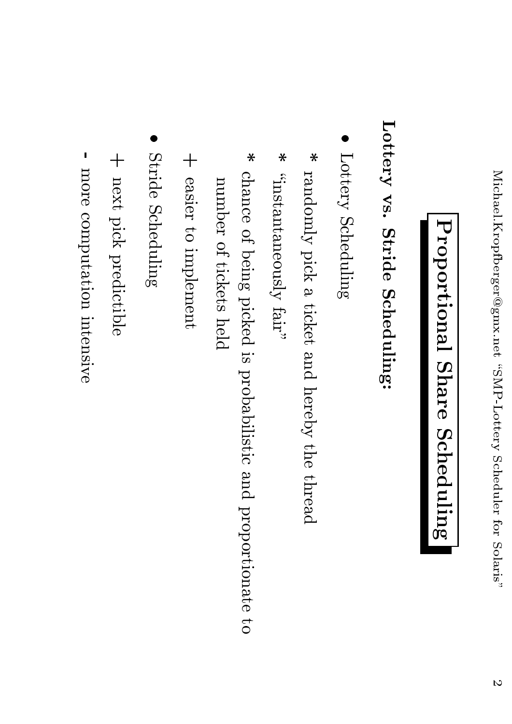### Proportional Share Scheduling

#### Lottery vs. Stride Scheduling:

- Lottery Scheduling
- $\ast$ randomly pick a ticket and hereby the thread
- $\ast$ "instantaneously fair"
- $\ast$ chance of being picked is probabilistic and proportionate to number of tickets held
- + easier to implement
- Stride Scheduling
- + next pick predictible
- more computation intensive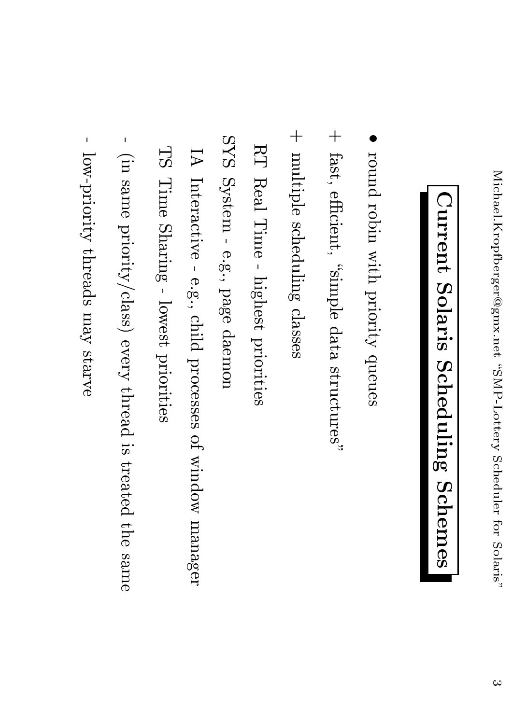## Current Solaris Scheduling Schemes

- round robin with priority queues
- + fast, efficient, "simple data structures"
- + multiple scheduling classes
- RT Real Time highest priorities
- SYS System e.g., page daemon
- Interactive e.g., child processes of window manager
- TS Time Sharing lowest priorities
- (in same priority/class) every thread is treated the same
- $\vert \vert$ low-priority threads may starve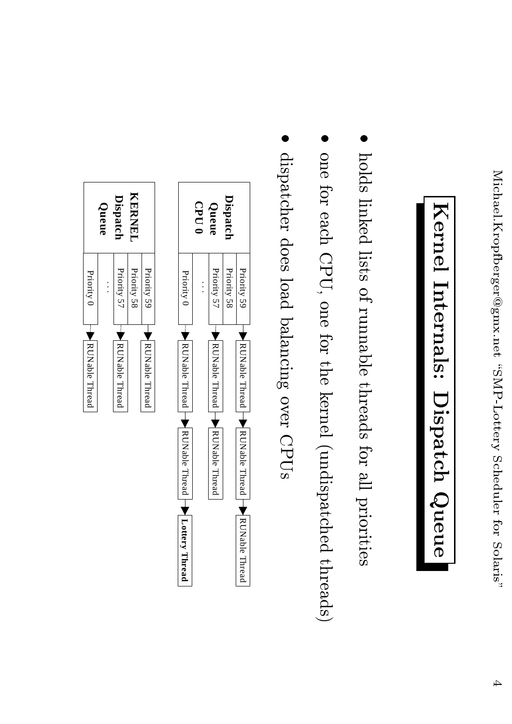### Kernel Internals: Dispatch Queue

- holds linked lists of runnable threads for all priorities
- one for each CPU, one for the kernel (undispatched threads)
- dispatcher does load balancing over CPUs

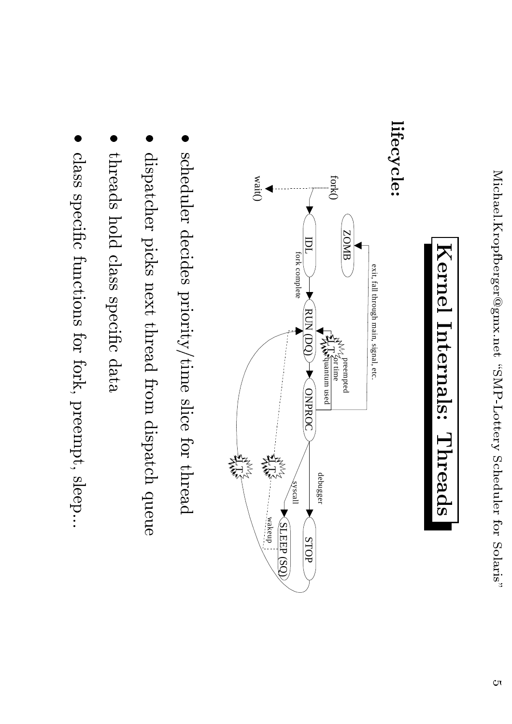

#### lifecycle:



- scheduler decides priority/time slice for thread
- dispatcher picks next thread from dispatch queue
- threads hold class specific data
- class specific functions for fork, preempt, sleep...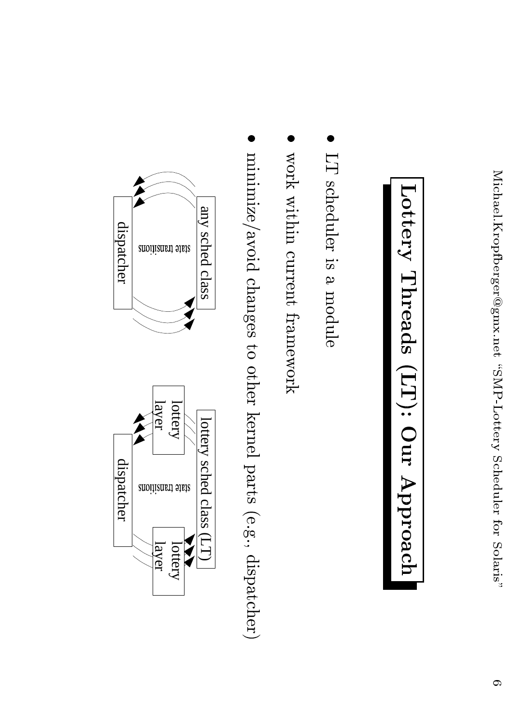## Lottery Threads (LT): Our Approach

- LT scheduler is a module
- work within current framework
- minimize/avoid changes to other kernel parts (e.g., dispatcher)

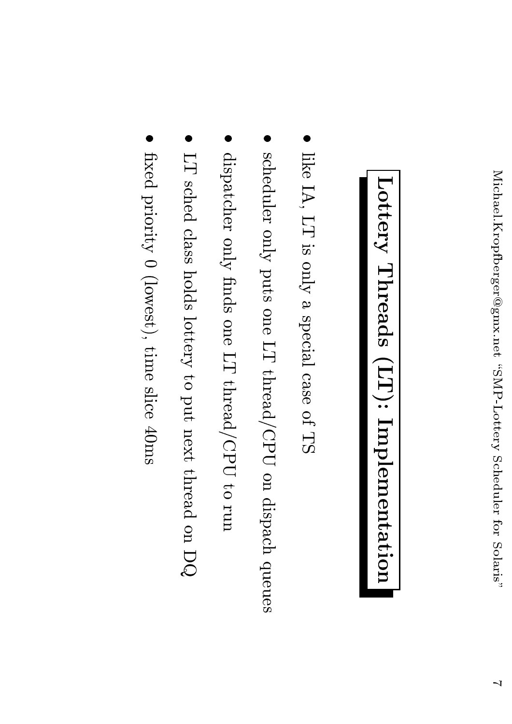## Lottery Threads (LT): Implementation

- like IA, LT is only a special case of TS
- scheduler only puts one LT thread/CPU on dispach queues
- dispatcher only finds one LT thread/CPU to run
- LT sched class holds lottery to put next thread on DQ
- fixed priority 0 (lowest), time slice 40ms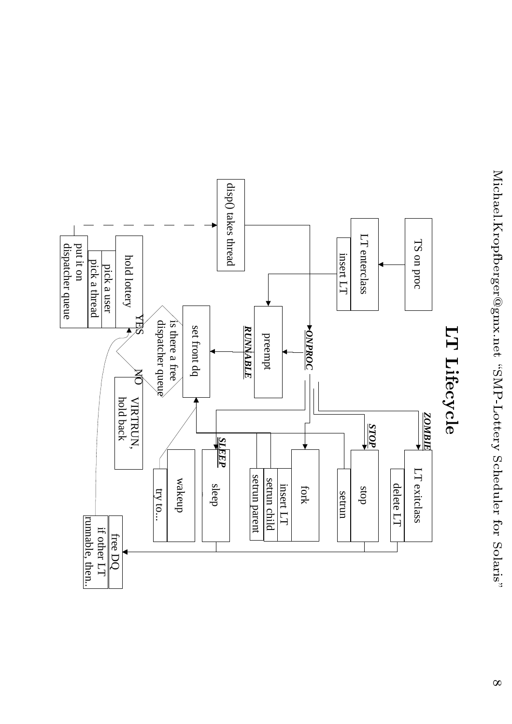

hold

pick a user

pick  $^{\circ}$ 

put it on dispatcher

queue

thread

lottery

 $\overline{\blacktriangle}$ 

hold back

free

 $\Xi$ 

runna¢

ble,

then..

other

 $\Gamma1$ 

 $\rm{O}$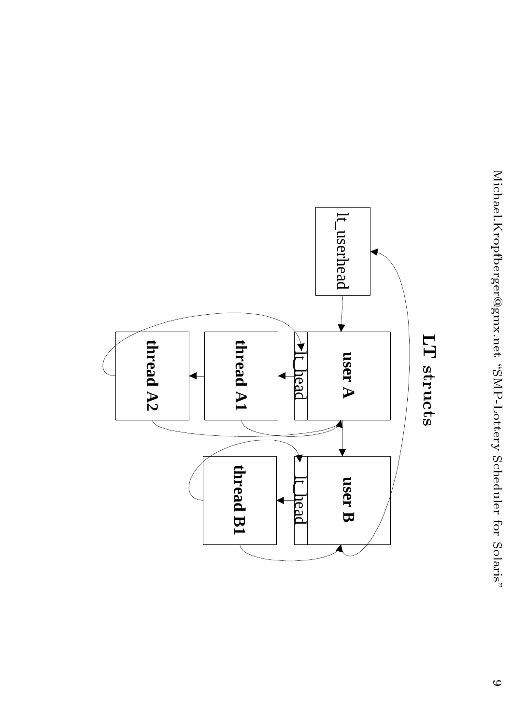

LT structs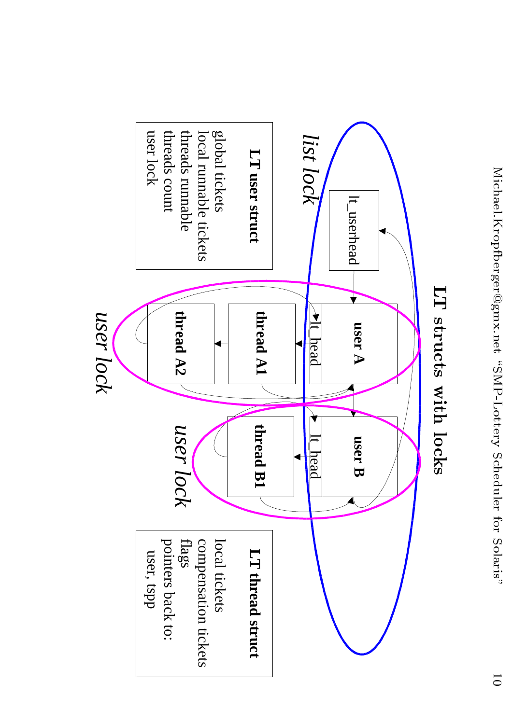

#### LT structs with locks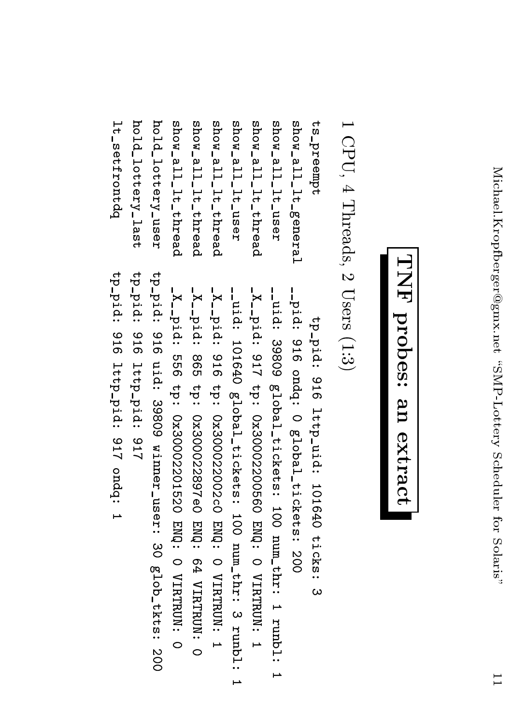#### TNF probes: an extract

#### $1$  CPU,  $4$  Threads,  $2$  Users  $(1:3)$

hold\_lottery\_user lt\_setfrontdq hold\_lottery\_last show\_all\_1t\_thread show\_all\_1t\_thread show\_all\_1t\_thread zesn<sup>-</sup>il-lt-user show\_all\_1t\_thread zesn<sup>-</sup>all-lt-user show\_all\_lt\_general ts\_preempt

tp-pid: 916 lttp-pid: 917 tpid: 916 uid: 39809 winner\_user: 30 glob\_tkts: 200 -X<sub>--</sub>pid: 556 tp: 0x30002201520 ENQ: 0 VIRTRUN: 0 -X<sub>--</sub>pid: 865 tp: 0x300022897e0 ENQ: 64 VIRTRUN: 0 -cuid: 101640 global\_tickets: 100 num\_thr: 3 runbl: 1 -idid: 39809 global\_tickets: 100 num\_thr: 1 runbl: 1 -pid: 916 ondq: 0 global\_tickets: 200 -X<sub>-1</sub>pid: 916 tp: 0x300022002c0 ENQ: 0 VIRTRUN: 1 -X<sub>-</sub>-pid: 917 tp: 0x30002200560 ENQ: 0 VIRTRUN: 1 tp-pid: 916 lttp-uid: 101640 ticks: 3

tp-14: 916 lttp-pid: 917 ondq: 1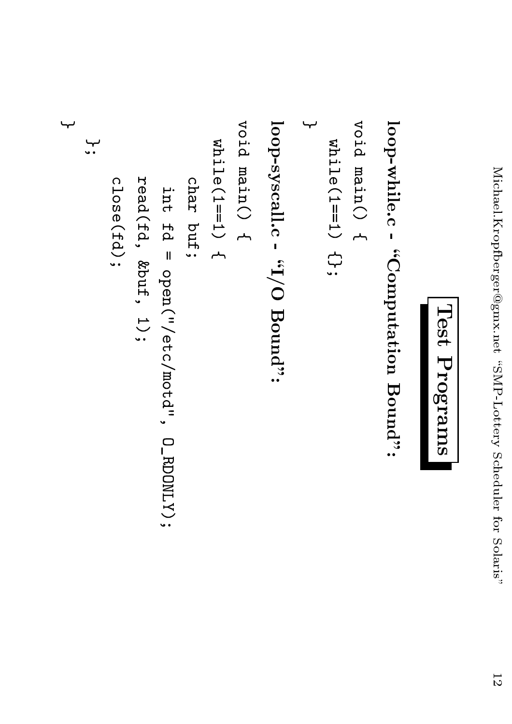```
Test Programs
```

```
yoid main() {
                                                                                                                                                                                                                                                                                                                                      Void main () {
                                                                                                                                                                                                                             : "bunoH O\I" - "illssyscall"
                                                                                                                                                                                                                                                                                                                                                                             loop-while.c - "Computation Bound":
\overline{\phantom{a}}widthi = (1 == 1)width1 = (1 == 1)read(fd, kbut, 1);
                                                                                                                            char buf;
                                close(fd);
                                                                                          int fd = \text{open}(''/\text{etc}/\text{mod}'', 0\_\text{RDDOLY});
```
 $\overline{ }$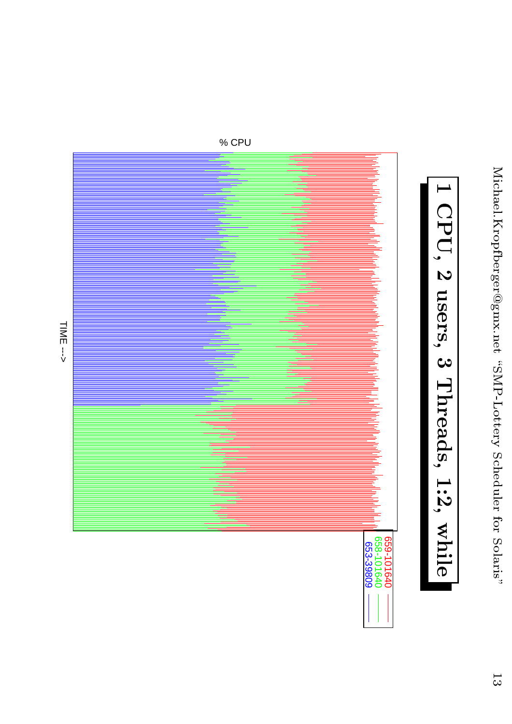

% CPU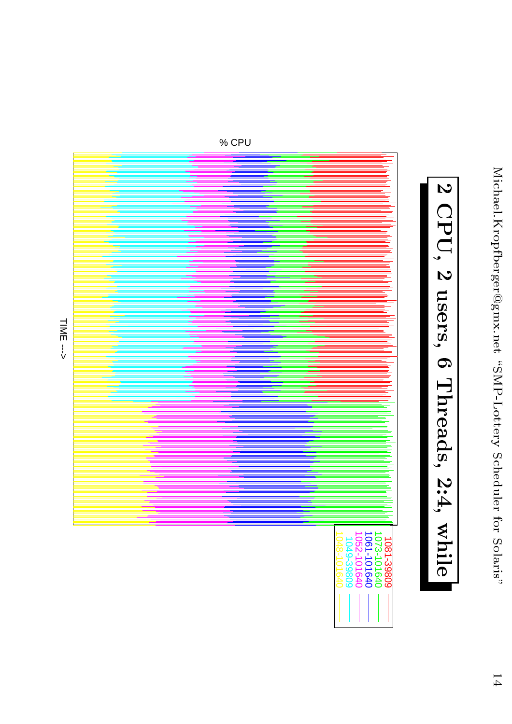

TIME --->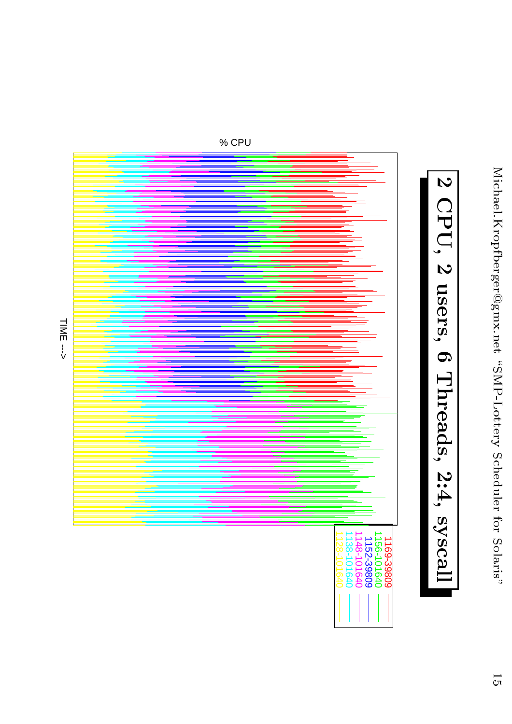

% CPU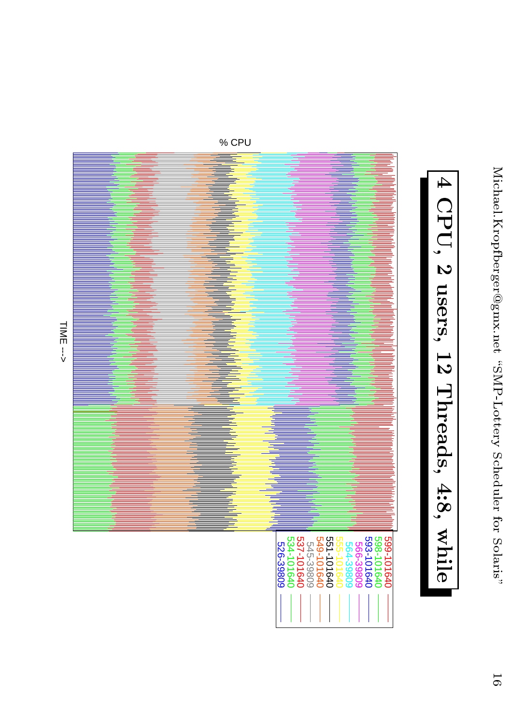

TIME --->